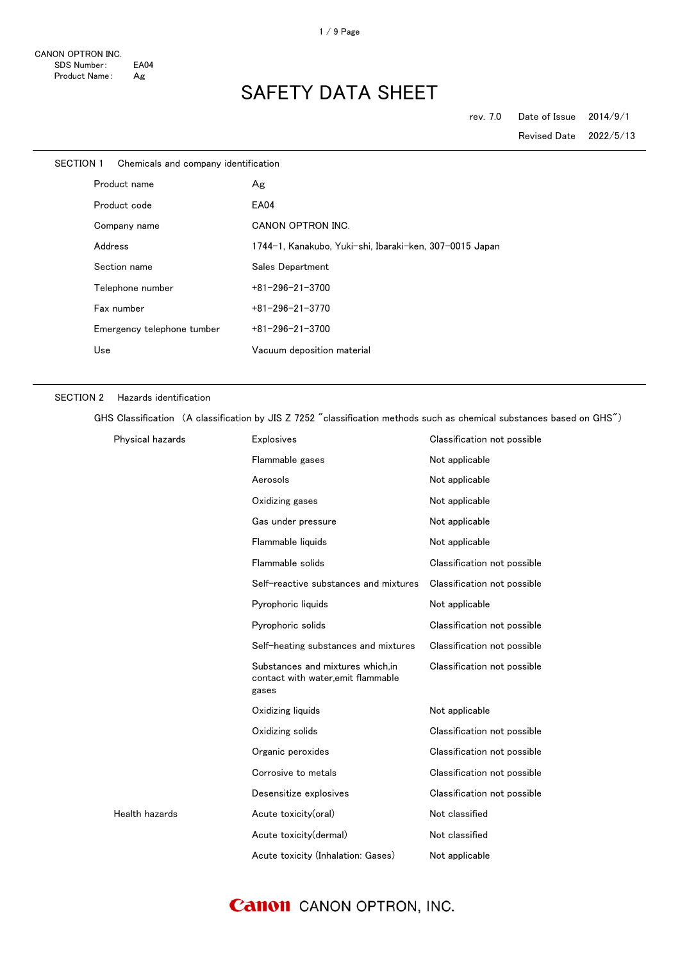| SECTION 1 | Chemicals and company identification |                                                         |
|-----------|--------------------------------------|---------------------------------------------------------|
|           | Product name                         | Ag                                                      |
|           | Product code                         | <b>EA04</b>                                             |
|           | Company name                         | CANON OPTRON INC.                                       |
|           | Address                              | 1744-1, Kanakubo, Yuki-shi, Ibaraki-ken, 307-0015 Japan |
|           | Section name                         | Sales Department                                        |
|           | Telephone number                     | $+81 - 296 - 21 - 3700$                                 |
|           | Fax number                           | $+81 - 296 - 21 - 3770$                                 |
|           | Emergency telephone tumber           | $+81 - 296 - 21 - 3700$                                 |
|           | Use                                  | Vacuum deposition material                              |

#### SECTION 2 Hazards identification

GHS Classification (A classification by JIS Z 7252 "classification methods such as chemical substances based on GHS")

| Physical hazards | <b>Explosives</b>                                                               | Classification not possible |
|------------------|---------------------------------------------------------------------------------|-----------------------------|
|                  | Flammable gases                                                                 | Not applicable              |
|                  | Aerosols                                                                        | Not applicable              |
|                  | Oxidizing gases                                                                 | Not applicable              |
|                  | Gas under pressure                                                              | Not applicable              |
|                  | Flammable liquids                                                               | Not applicable              |
|                  | Flammable solids                                                                | Classification not possible |
|                  | Self-reactive substances and mixtures                                           | Classification not possible |
|                  | Pyrophoric liquids                                                              | Not applicable              |
|                  | Pyrophoric solids                                                               | Classification not possible |
|                  | Self-heating substances and mixtures                                            | Classification not possible |
|                  | Substances and mixtures which, in<br>contact with water,emit flammable<br>gases | Classification not possible |
|                  | Oxidizing liquids                                                               | Not applicable              |
|                  | Oxidizing solids                                                                | Classification not possible |
|                  | Organic peroxides                                                               | Classification not possible |
|                  | Corrosive to metals                                                             | Classification not possible |
|                  | Desensitize explosives                                                          | Classification not possible |
| Health hazards   | Acute toxicity(oral)                                                            | Not classified              |
|                  | Acute toxicity(dermal)                                                          | Not classified              |
|                  | Acute toxicity (Inhalation: Gases)                                              | Not applicable              |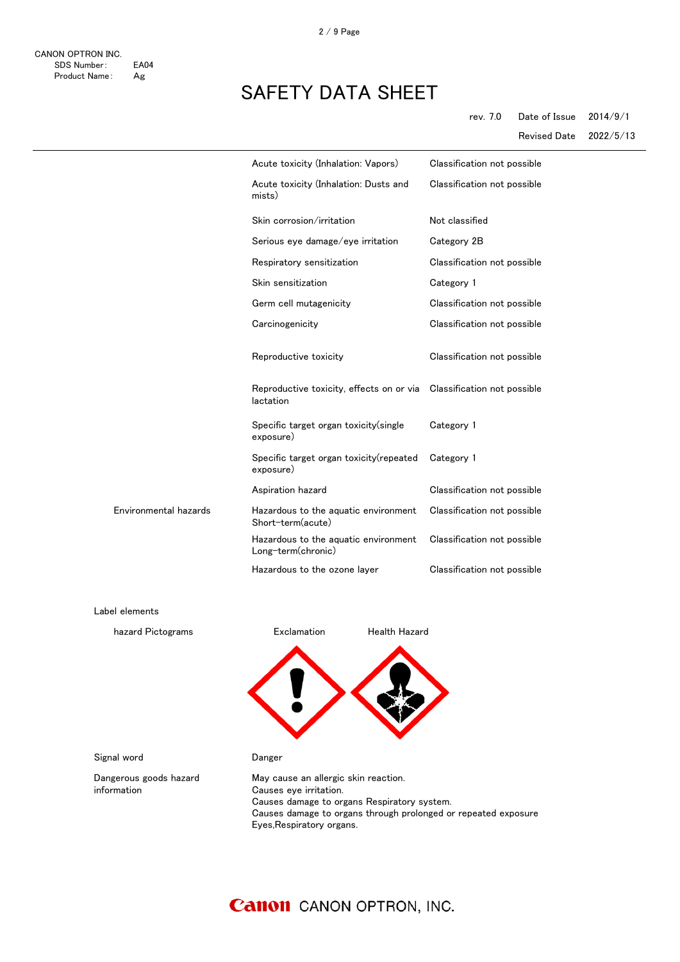|                       | Acute toxicity (Inhalation: Vapors)                        | Classification not possible |
|-----------------------|------------------------------------------------------------|-----------------------------|
|                       | Acute toxicity (Inhalation: Dusts and<br>mists)            | Classification not possible |
|                       | Skin corrosion/irritation                                  | Not classified              |
|                       | Serious eye damage/eye irritation                          | Category 2B                 |
|                       | Respiratory sensitization                                  | Classification not possible |
|                       | Skin sensitization                                         | Category 1                  |
|                       | Germ cell mutagenicity                                     | Classification not possible |
|                       | Carcinogenicity                                            | Classification not possible |
|                       | Reproductive toxicity                                      | Classification not possible |
|                       | Reproductive toxicity, effects on or via<br>lactation      | Classification not possible |
|                       | Specific target organ toxicity (single<br>exposure)        | Category 1                  |
|                       | Specific target organ toxicity (repeated<br>exposure)      | Category 1                  |
|                       | Aspiration hazard                                          | Classification not possible |
| Environmental hazards | Hazardous to the aquatic environment<br>Short-term(acute)  | Classification not possible |
|                       | Hazardous to the aquatic environment<br>Long-term(chronic) | Classification not possible |
|                       | Hazardous to the ozone layer                               | Classification not possible |

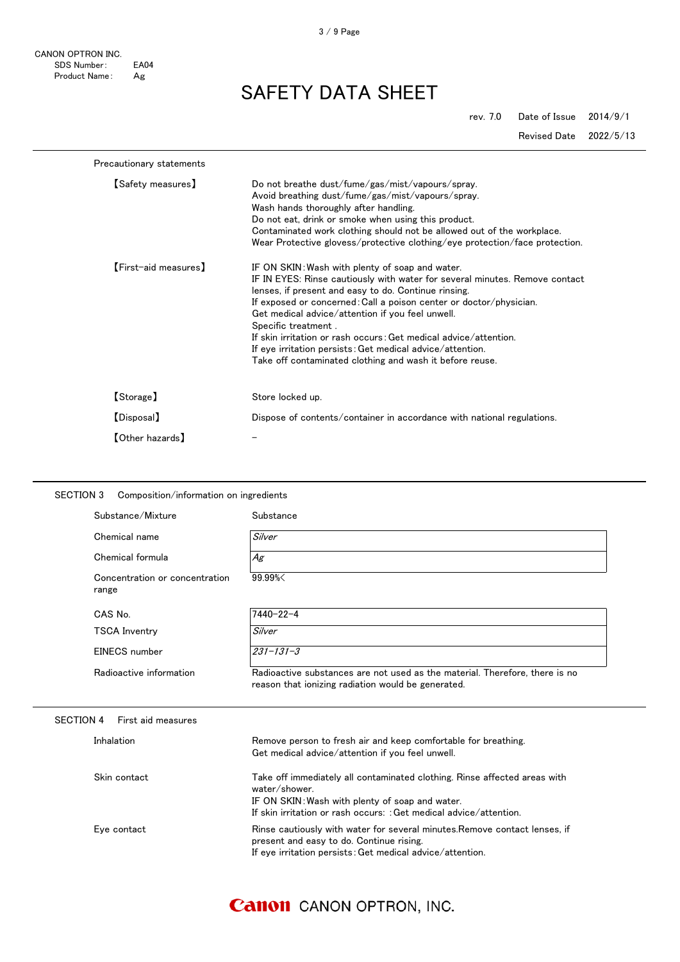CANON OPTRON INC. SDS Number: EA04<br>Product Name: Ag Product Name:

SAFETY DATA SHEET

rev. 7.0 Date of Issue 2014/9/1

Revised Date 2022/5/13

| Precautionary statements |                                                                                                                                                                                                                                                                                                                                                                                                                                                                                                                                      |
|--------------------------|--------------------------------------------------------------------------------------------------------------------------------------------------------------------------------------------------------------------------------------------------------------------------------------------------------------------------------------------------------------------------------------------------------------------------------------------------------------------------------------------------------------------------------------|
| [Safety measures]        | Do not breathe dust/fume/gas/mist/vapours/spray.<br>Avoid breathing dust/fume/gas/mist/vapours/spray.<br>Wash hands thoroughly after handling.<br>Do not eat, drink or smoke when using this product.<br>Contaminated work clothing should not be allowed out of the workplace.<br>Wear Protective glovess/protective clothing/eye protection/face protection.                                                                                                                                                                       |
| [First-aid measures]     | IF ON SKIN: Wash with plenty of soap and water.<br>IF IN EYES: Rinse cautiously with water for several minutes. Remove contact<br>lenses, if present and easy to do. Continue rinsing.<br>If exposed or concerned: Call a poison center or doctor/physician.<br>Get medical advice/attention if you feel unwell.<br>Specific treatment.<br>If skin irritation or rash occurs: Get medical advice/attention.<br>If eye irritation persists: Get medical advice/attention.<br>Take off contaminated clothing and wash it before reuse. |
| [Storage]                | Store locked up.                                                                                                                                                                                                                                                                                                                                                                                                                                                                                                                     |
| [Disposal]               | Dispose of contents/container in accordance with national regulations.                                                                                                                                                                                                                                                                                                                                                                                                                                                               |
| 【Other hazards】          |                                                                                                                                                                                                                                                                                                                                                                                                                                                                                                                                      |

| Substance/Mixture                       | Substance                                                                                                                                                                                                           |
|-----------------------------------------|---------------------------------------------------------------------------------------------------------------------------------------------------------------------------------------------------------------------|
| Chemical name                           | Silver                                                                                                                                                                                                              |
| Chemical formula                        | Ag                                                                                                                                                                                                                  |
| Concentration or concentration<br>range | 99.99%                                                                                                                                                                                                              |
| CAS No.                                 | $7440 - 22 - 4$                                                                                                                                                                                                     |
| <b>TSCA Inventry</b>                    | Silver                                                                                                                                                                                                              |
| EINECS number                           | $231 - 131 - 3$                                                                                                                                                                                                     |
| Radioactive information                 | Radioactive substances are not used as the material. Therefore, there is no<br>reason that ionizing radiation would be generated.                                                                                   |
| <b>SECTION 4</b><br>First aid measures  |                                                                                                                                                                                                                     |
| Inhalation                              | Remove person to fresh air and keep comfortable for breathing.<br>Get medical advice/attention if you feel unwell.                                                                                                  |
| Skin contact                            | Take off immediately all contaminated clothing. Rinse affected areas with<br>water/shower.<br>IF ON SKIN: Wash with plenty of soap and water.<br>If skin irritation or rash occurs: : Get medical advice/attention. |
|                                         |                                                                                                                                                                                                                     |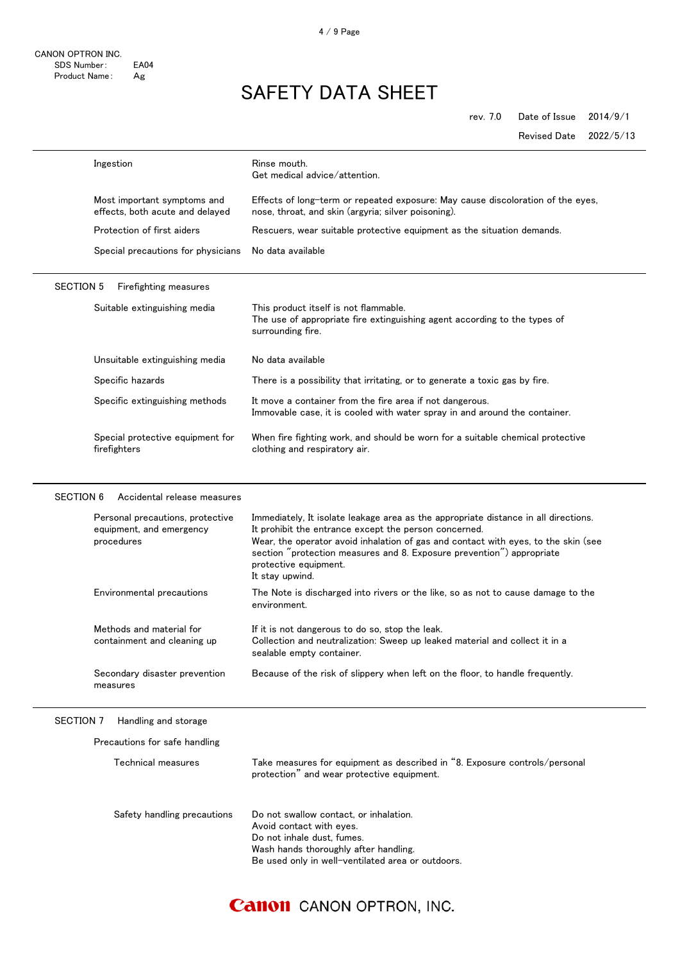CANON OPTRON INC. SDS Number: EA04<br>Product Name: Ag Product Name:

rev. 7.0 Date of Issue 2014/9/1

Revised Date 2022/5/13

|                  | Ingestion                                                                  | Rinse mouth.<br>Get medical advice/attention.                                                                                                                                                                                                                                                                                                           |
|------------------|----------------------------------------------------------------------------|---------------------------------------------------------------------------------------------------------------------------------------------------------------------------------------------------------------------------------------------------------------------------------------------------------------------------------------------------------|
|                  | Most important symptoms and<br>effects, both acute and delayed             | Effects of long-term or repeated exposure: May cause discoloration of the eyes,<br>nose, throat, and skin (argyria; silver poisoning).                                                                                                                                                                                                                  |
|                  | Protection of first aiders                                                 | Rescuers, wear suitable protective equipment as the situation demands.                                                                                                                                                                                                                                                                                  |
|                  | Special precautions for physicians                                         | No data available                                                                                                                                                                                                                                                                                                                                       |
| <b>SECTION 5</b> | Firefighting measures                                                      |                                                                                                                                                                                                                                                                                                                                                         |
|                  | Suitable extinguishing media                                               | This product itself is not flammable.<br>The use of appropriate fire extinguishing agent according to the types of<br>surrounding fire.                                                                                                                                                                                                                 |
|                  | Unsuitable extinguishing media                                             | No data available                                                                                                                                                                                                                                                                                                                                       |
|                  | Specific hazards                                                           | There is a possibility that irritating, or to generate a toxic gas by fire.                                                                                                                                                                                                                                                                             |
|                  | Specific extinguishing methods                                             | It move a container from the fire area if not dangerous.<br>Immovable case, it is cooled with water spray in and around the container.                                                                                                                                                                                                                  |
|                  | Special protective equipment for<br>firefighters                           | When fire fighting work, and should be worn for a suitable chemical protective<br>clothing and respiratory air.                                                                                                                                                                                                                                         |
|                  | Personal precautions, protective<br>equipment, and emergency<br>procedures | Immediately, It isolate leakage area as the appropriate distance in all directions.<br>It prohibit the entrance except the person concerned.<br>Wear, the operator avoid inhalation of gas and contact with eyes, to the skin (see<br>section "protection measures and 8. Exposure prevention") appropriate<br>protective equipment.<br>It stay upwind. |
|                  | Environmental precautions                                                  | The Note is discharged into rivers or the like, so as not to cause damage to the<br>environment.                                                                                                                                                                                                                                                        |
|                  | Methods and material for<br>containment and cleaning up                    | If it is not dangerous to do so, stop the leak.<br>Collection and neutralization: Sweep up leaked material and collect it in a<br>sealable empty container.                                                                                                                                                                                             |
|                  | Secondary disaster prevention<br>measures                                  | Because of the risk of slippery when left on the floor, to handle frequently.                                                                                                                                                                                                                                                                           |
| <b>SECTION 7</b> | Handling and storage                                                       |                                                                                                                                                                                                                                                                                                                                                         |
|                  | Precautions for safe handling                                              |                                                                                                                                                                                                                                                                                                                                                         |
|                  | Technical measures                                                         | Take measures for equipment as described in "8. Exposure controls/personal<br>protection" and wear protective equipment.                                                                                                                                                                                                                                |
|                  | Safety handling precautions                                                | Do not swallow contact, or inhalation.<br>Avoid contact with eyes.<br>Do not inhale dust, fumes.<br>Wash hands thoroughly after handling.<br>Be used only in well-ventilated area or outdoors.                                                                                                                                                          |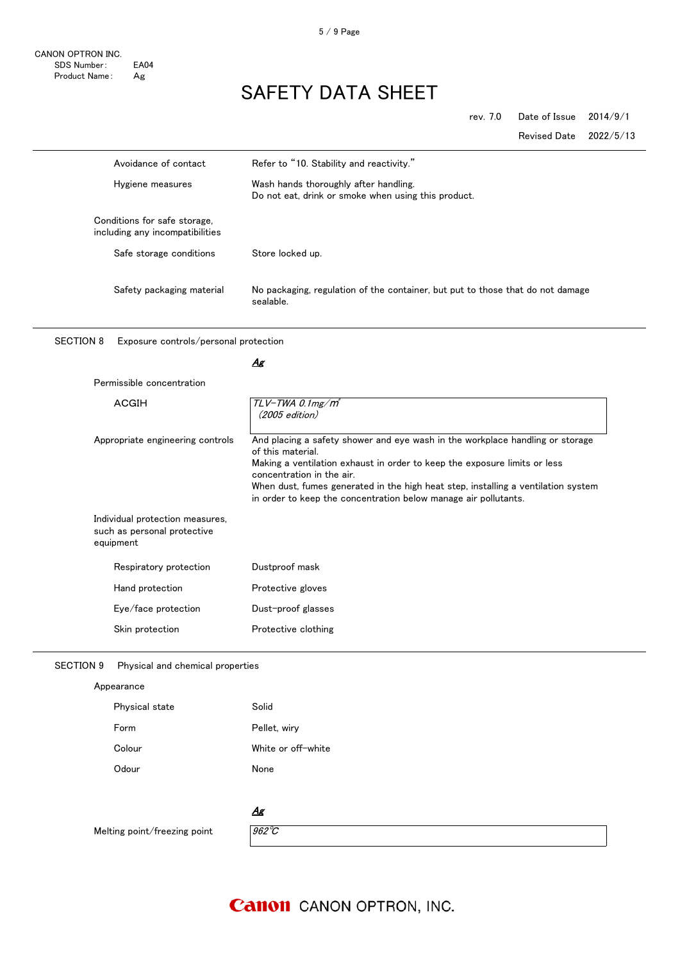# SAFETY DATA SHEET

rev. 7.0 Date of Issue 2014/9/1

Revised Date 2022/5/13

| Avoidance of contact                                                        | Refer to "10. Stability and reactivity."                                                                                                                                                                                                                                                                                                                             |
|-----------------------------------------------------------------------------|----------------------------------------------------------------------------------------------------------------------------------------------------------------------------------------------------------------------------------------------------------------------------------------------------------------------------------------------------------------------|
| Hygiene measures                                                            | Wash hands thoroughly after handling.<br>Do not eat, drink or smoke when using this product.                                                                                                                                                                                                                                                                         |
| Conditions for safe storage,<br>including any incompatibilities             |                                                                                                                                                                                                                                                                                                                                                                      |
| Safe storage conditions                                                     | Store locked up.                                                                                                                                                                                                                                                                                                                                                     |
| Safety packaging material                                                   | No packaging, regulation of the container, but put to those that do not damage<br>sealable.                                                                                                                                                                                                                                                                          |
| <b>SECTION 8</b><br>Exposure controls/personal protection                   |                                                                                                                                                                                                                                                                                                                                                                      |
|                                                                             | Ag                                                                                                                                                                                                                                                                                                                                                                   |
| Permissible concentration                                                   |                                                                                                                                                                                                                                                                                                                                                                      |
| ACGIH                                                                       | $TLV$ -TWA 0.1mg/m <sup>3</sup><br>(2005 edition)                                                                                                                                                                                                                                                                                                                    |
| Appropriate engineering controls                                            | And placing a safety shower and eye wash in the workplace handling or storage<br>of this material.<br>Making a ventilation exhaust in order to keep the exposure limits or less<br>concentration in the air.<br>When dust, fumes generated in the high heat step, installing a ventilation system<br>in order to keep the concentration below manage air pollutants. |
| Individual protection measures,<br>such as personal protective<br>equipment |                                                                                                                                                                                                                                                                                                                                                                      |
| Respiratory protection                                                      | Dustproof mask                                                                                                                                                                                                                                                                                                                                                       |
| Hand protection                                                             | Protective gloves                                                                                                                                                                                                                                                                                                                                                    |
| Eye/face protection                                                         | Dust-proof glasses                                                                                                                                                                                                                                                                                                                                                   |
| Skin protection                                                             | Protective clothing                                                                                                                                                                                                                                                                                                                                                  |
| <b>SECTION 9</b><br>Physical and chemical properties                        |                                                                                                                                                                                                                                                                                                                                                                      |
| Appearance                                                                  |                                                                                                                                                                                                                                                                                                                                                                      |

| Physical state | Solid              |
|----------------|--------------------|
| Form           | Pellet, wiry       |
| Colour         | White or off-white |
| Odour          | None               |

#### Ag

Melting point/freezing point  $\sqrt{962^{\circ}C}$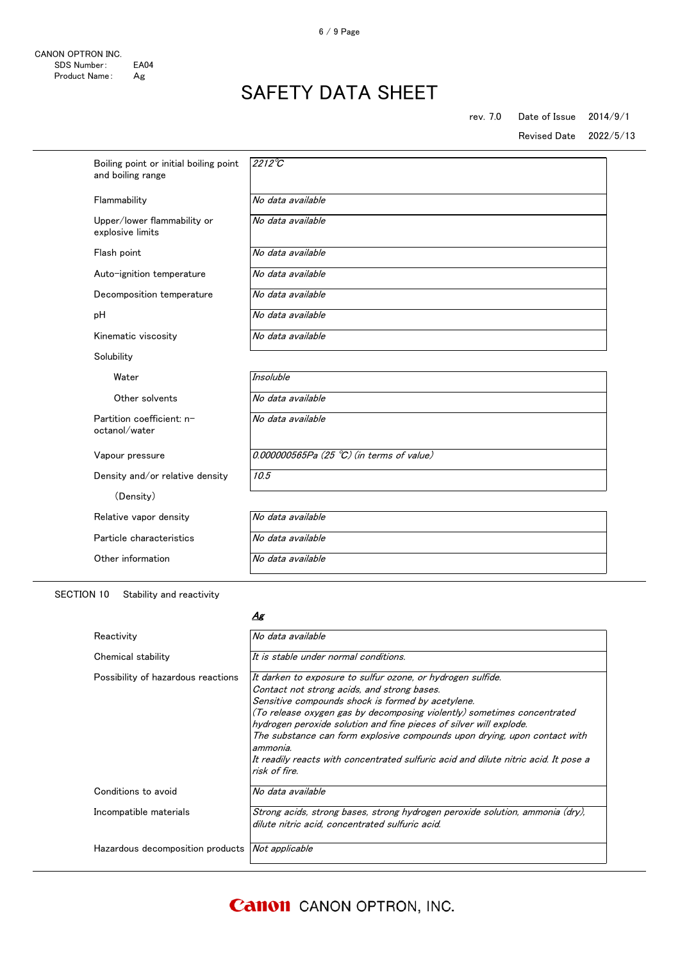### rev. 7.0 Date of Issue 2014/9/1

Revised Date 2022/5/13

| Boiling point or initial boiling point<br>and boiling range | $2212^{\circ}C$                             |
|-------------------------------------------------------------|---------------------------------------------|
| Flammability                                                | No data available                           |
| Upper/lower flammability or<br>explosive limits             | No data available                           |
| Flash point                                                 | No data available                           |
| Auto-ignition temperature                                   | No data available                           |
| Decomposition temperature                                   | No data available                           |
| pH                                                          | No data available                           |
| Kinematic viscosity                                         | No data available                           |
| Solubility                                                  |                                             |
| Water                                                       | Insoluble                                   |
| Other solvents                                              | No data available                           |
| Partition coefficient: n-<br>octanol/water                  | No data available                           |
| Vapour pressure                                             | $0.000000565Pa$ (25 °C) (in terms of value) |
| Density and/or relative density                             | 10.5                                        |
| (Density)                                                   |                                             |
| Relative vapor density                                      | No data available                           |
| Particle characteristics                                    | No data available                           |
| Other information                                           | No data available                           |
|                                                             |                                             |

SECTION 10 Stability and reactivity

#### Ag

| Reactivity                                             | No data available                                                                                                                                                                                                                                                                                                                                                                                                                                                                                                 |
|--------------------------------------------------------|-------------------------------------------------------------------------------------------------------------------------------------------------------------------------------------------------------------------------------------------------------------------------------------------------------------------------------------------------------------------------------------------------------------------------------------------------------------------------------------------------------------------|
| Chemical stability                                     | It is stable under normal conditions.                                                                                                                                                                                                                                                                                                                                                                                                                                                                             |
| Possibility of hazardous reactions                     | It darken to exposure to sulfur ozone, or hydrogen sulfide.<br>Contact not strong acids, and strong bases.<br>Sensitive compounds shock is formed by acetylene.<br>(To release oxygen gas by decomposing violently) sometimes concentrated<br>hydrogen peroxide solution and fine pieces of silver will explode.<br>The substance can form explosive compounds upon drying, upon contact with<br>ammonia.<br>It readily reacts with concentrated sulfuric acid and dilute nitric acid. It pose a<br>risk of fire. |
| Conditions to avoid                                    | No data available                                                                                                                                                                                                                                                                                                                                                                                                                                                                                                 |
| Incompatible materials                                 | Strong acids, strong bases, strong hydrogen peroxide solution, ammonia (dry).<br>dilute nitric acid, concentrated sulfuric acid.                                                                                                                                                                                                                                                                                                                                                                                  |
| Hazardous decomposition products <i>Not applicable</i> |                                                                                                                                                                                                                                                                                                                                                                                                                                                                                                                   |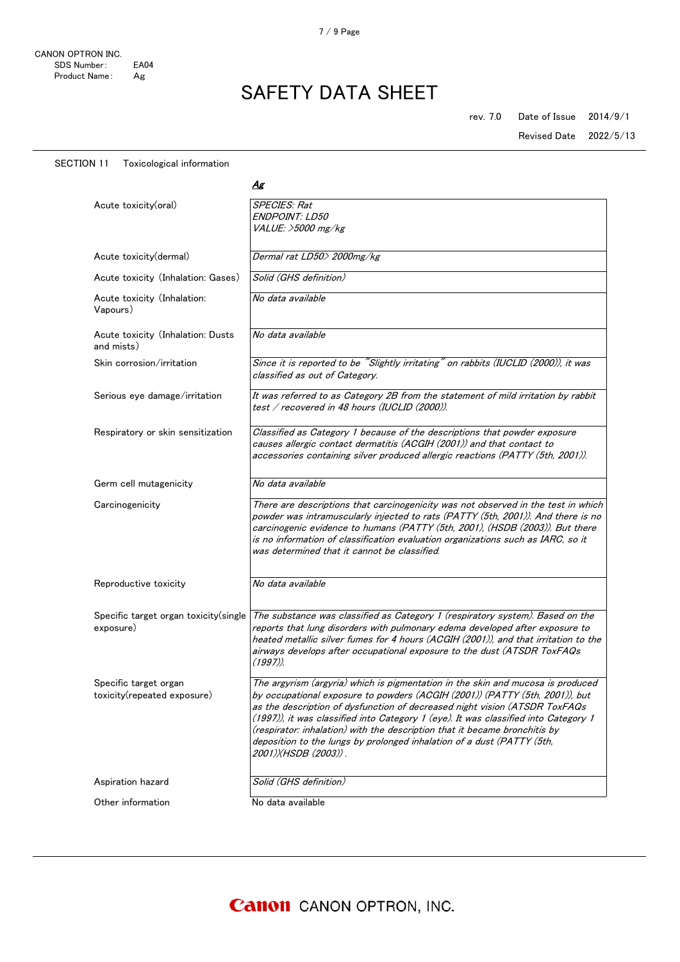Revised Date 2022/5/13

#### SECTION 11 Toxicological information

|                                                      | Δg                                                                                                                                                                                                                                                                                                                                                                                                                                                                                                                   |
|------------------------------------------------------|----------------------------------------------------------------------------------------------------------------------------------------------------------------------------------------------------------------------------------------------------------------------------------------------------------------------------------------------------------------------------------------------------------------------------------------------------------------------------------------------------------------------|
| Acute toxicity(oral)                                 | <b>SPECIES: Rat</b><br>ENDPOINT: LD50<br>VALUE: >5000 mg/kg                                                                                                                                                                                                                                                                                                                                                                                                                                                          |
| Acute toxicity(dermal)                               | Dermal rat LD50> 2000mg/kg                                                                                                                                                                                                                                                                                                                                                                                                                                                                                           |
| Acute toxicity (Inhalation: Gases)                   | Solid (GHS definition)                                                                                                                                                                                                                                                                                                                                                                                                                                                                                               |
| Acute toxicity (Inhalation:<br>Vapours)              | No data available                                                                                                                                                                                                                                                                                                                                                                                                                                                                                                    |
| Acute toxicity (Inhalation: Dusts<br>and mists)      | No data available                                                                                                                                                                                                                                                                                                                                                                                                                                                                                                    |
| Skin corrosion/irritation                            | Since it is reported to be "Slightly irritating" on rabbits (IUCLID (2000)), it was<br>classified as out of Category.                                                                                                                                                                                                                                                                                                                                                                                                |
| Serious eye damage/irritation                        | It was referred to as Category 2B from the statement of mild irritation by rabbit<br>test / recovered in 48 hours (IUCLID (2000)).                                                                                                                                                                                                                                                                                                                                                                                   |
| Respiratory or skin sensitization                    | Classified as Category 1 because of the descriptions that powder exposure<br>causes allergic contact dermatitis (ACGIH (2001)) and that contact to<br>accessories containing silver produced allergic reactions (PATTY (5th, 2001)).                                                                                                                                                                                                                                                                                 |
| Germ cell mutagenicity                               | No data available                                                                                                                                                                                                                                                                                                                                                                                                                                                                                                    |
| Carcinogenicity                                      | There are descriptions that carcinogenicity was not observed in the test in which<br>powder was intramuscularly injected to rats (PATTY (5th, 2001)). And there is no<br>carcinogenic evidence to humans (PATTY (5th, 2001), (HSDB (2003)). But there<br>is no information of classification evaluation organizations such as IARC, so it<br>was determined that it cannot be classified.                                                                                                                            |
| Reproductive toxicity                                | No data available                                                                                                                                                                                                                                                                                                                                                                                                                                                                                                    |
| Specific target organ toxicity(single<br>exposure)   | The substance was classified as Category 1 (respiratory system). Based on the<br>reports that lung disorders with pulmonary edema developed after exposure to<br>heated metallic silver fumes for 4 hours (ACGIH (2001)), and that irritation to the<br>airways develops after occupational exposure to the dust (ATSDR ToxFAQs<br>$(1997)$ ).                                                                                                                                                                       |
| Specific target organ<br>toxicity(repeated exposure) | The argyrism (argyria) which is pigmentation in the skin and mucosa is produced<br>by occupational exposure to powders (ACGIH (2001)) (PATTY (5th, 2001)), but<br>as the description of dysfunction of decreased night vision (ATSDR ToxFAQs<br>(1997)), it was classified into Category 1 (eye). It was classified into Category 1<br>(respirator; inhalation) with the description that it became bronchitis by<br>deposition to the lungs by prolonged inhalation of a dust (PATTY (5th,<br>2001))(HSDB (2003)) . |
| Aspiration hazard                                    | Solid (GHS definition)                                                                                                                                                                                                                                                                                                                                                                                                                                                                                               |
| Other information                                    | No data available                                                                                                                                                                                                                                                                                                                                                                                                                                                                                                    |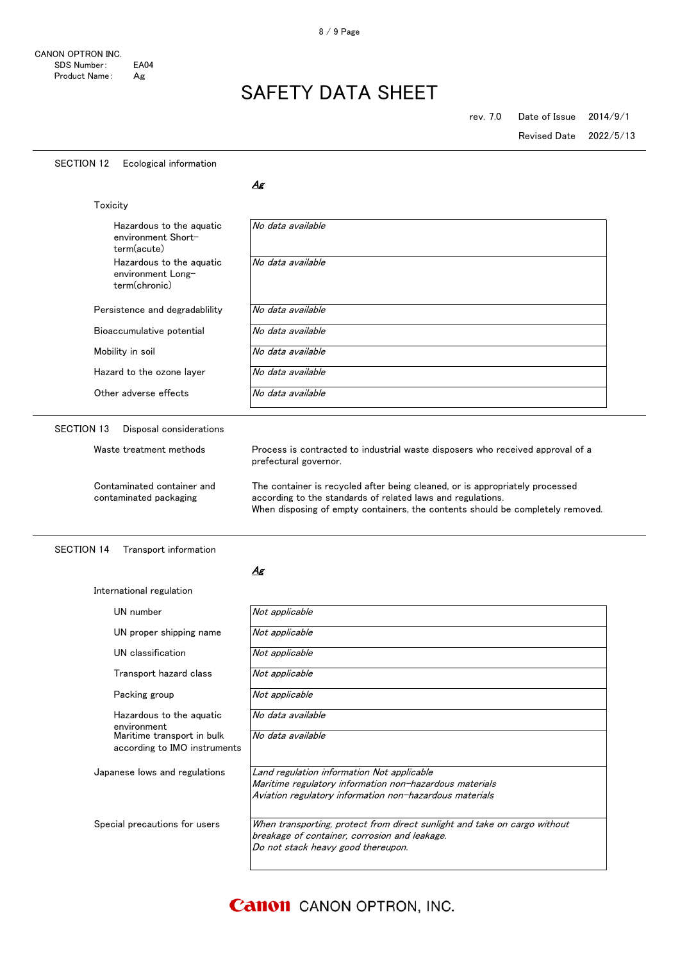| <b>SECTION 12</b><br>Ecological information                               |                                                                                                                                                                                                                               |
|---------------------------------------------------------------------------|-------------------------------------------------------------------------------------------------------------------------------------------------------------------------------------------------------------------------------|
|                                                                           | Δg                                                                                                                                                                                                                            |
| Toxicity                                                                  |                                                                                                                                                                                                                               |
| Hazardous to the aquatic<br>environment Short-<br>term(acute)             | No data available                                                                                                                                                                                                             |
| Hazardous to the aquatic<br>environment Long-<br>term(chronic)            | No data available                                                                                                                                                                                                             |
| Persistence and degradability                                             | No data available                                                                                                                                                                                                             |
| Bioaccumulative potential                                                 | No data available                                                                                                                                                                                                             |
| Mobility in soil                                                          | No data available                                                                                                                                                                                                             |
| Hazard to the ozone layer                                                 | No data available                                                                                                                                                                                                             |
| Other adverse effects                                                     | No data available                                                                                                                                                                                                             |
| <b>SECTION 13</b><br>Disposal considerations                              |                                                                                                                                                                                                                               |
| Waste treatment methods                                                   | Process is contracted to industrial waste disposers who received approval of a<br>prefectural governor.                                                                                                                       |
| Contaminated container and<br>contaminated packaging                      | The container is recycled after being cleaned, or is appropriately processed<br>according to the standards of related laws and regulations.<br>When disposing of empty containers, the contents should be completely removed. |
| <b>SECTION 14</b><br>Transport information                                | Ag                                                                                                                                                                                                                            |
| International regulation                                                  |                                                                                                                                                                                                                               |
| UN number                                                                 | Not applicable                                                                                                                                                                                                                |
| UN proper shipping name                                                   | Not applicable                                                                                                                                                                                                                |
| UN classification                                                         | Not applicable                                                                                                                                                                                                                |
| Transport hazard class                                                    | Not applicable                                                                                                                                                                                                                |
| Packing group                                                             | Not applicable                                                                                                                                                                                                                |
| Hazardous to the aquatic                                                  | No data available                                                                                                                                                                                                             |
| environment<br>Maritime transport in bulk<br>according to IMO instruments | No data available                                                                                                                                                                                                             |
| Japanese lows and regulations                                             | Land regulation information Not applicable<br>Maritime regulatory information non-hazardous materials<br>Aviation regulatory information non-hazardous materials                                                              |
| Special precautions for users                                             | When transporting, protect from direct sunlight and take on cargo without<br>breakage of container, corrosion and leakage.<br>Do not stack heavy good thereupon.                                                              |